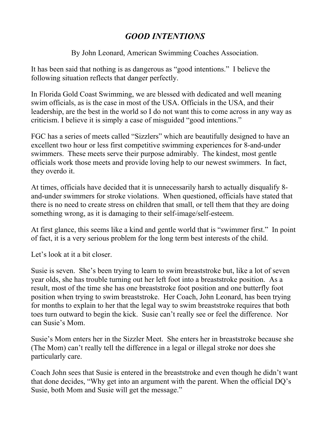## *GOOD INTENTIONS*

By John Leonard, American Swimming Coaches Association.

It has been said that nothing is as dangerous as "good intentions." I believe the following situation reflects that danger perfectly.

In Florida Gold Coast Swimming, we are blessed with dedicated and well meaning swim officials, as is the case in most of the USA. Officials in the USA, and their leadership, are the best in the world so I do not want this to come across in any way as criticism. I believe it is simply a case of misguided "good intentions."

FGC has a series of meets called "Sizzlers" which are beautifully designed to have an excellent two hour or less first competitive swimming experiences for 8-and-under swimmers. These meets serve their purpose admirably. The kindest, most gentle officials work those meets and provide loving help to our newest swimmers. In fact, they overdo it.

At times, officials have decided that it is unnecessarily harsh to actually disqualify 8 and-under swimmers for stroke violations. When questioned, officials have stated that there is no need to create stress on children that small, or tell them that they are doing something wrong, as it is damaging to their self-image/self-esteem.

At first glance, this seems like a kind and gentle world that is "swimmer first." In point of fact, it is a very serious problem for the long term best interests of the child.

Let's look at it a bit closer.

Susie is seven. She's been trying to learn to swim breaststroke but, like a lot of seven year olds, she has trouble turning out her left foot into a breaststroke position. As a result, most of the time she has one breaststroke foot position and one butterfly foot position when trying to swim breaststroke. Her Coach, John Leonard, has been trying for months to explain to her that the legal way to swim breaststroke requires that both toes turn outward to begin the kick. Susie can't really see or feel the difference. Nor can Susie's Mom.

Susie's Mom enters her in the Sizzler Meet. She enters her in breaststroke because she (The Mom) can't really tell the difference in a legal or illegal stroke nor does she particularly care.

Coach John sees that Susie is entered in the breaststroke and even though he didn't want that done decides, "Why get into an argument with the parent. When the official DQ's Susie, both Mom and Susie will get the message."